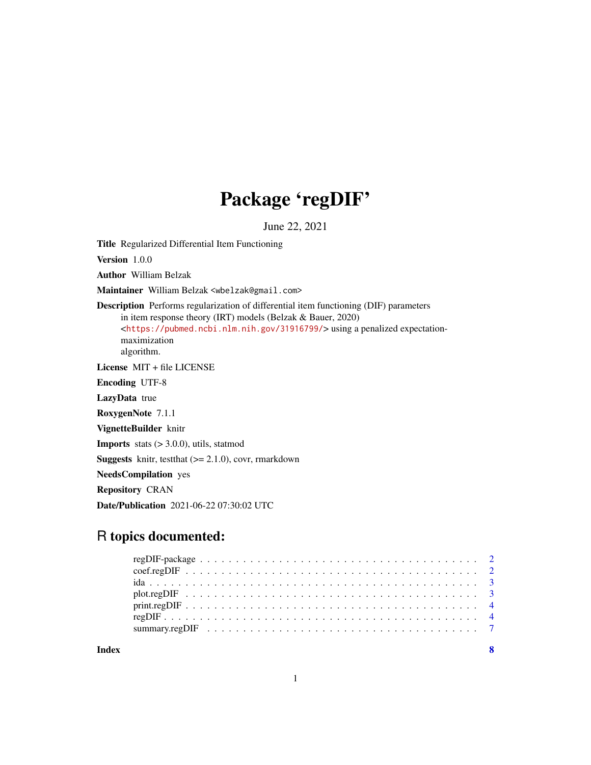## Package 'regDIF'

June 22, 2021

Title Regularized Differential Item Functioning

Version 1.0.0

Author William Belzak

Maintainer William Belzak <wbelzak@gmail.com>

Description Performs regularization of differential item functioning (DIF) parameters in item response theory (IRT) models (Belzak & Bauer, 2020) <<https://pubmed.ncbi.nlm.nih.gov/31916799/>> using a penalized expectationmaximization algorithm.

License MIT + file LICENSE

Encoding UTF-8

LazyData true

RoxygenNote 7.1.1

VignetteBuilder knitr

**Imports** stats  $(> 3.0.0)$ , utils, statmod

**Suggests** knitr, test that  $(>= 2.1.0)$ , covr, rmarkdown

NeedsCompilation yes

Repository CRAN

Date/Publication 2021-06-22 07:30:02 UTC

### R topics documented:

| summary.regDIF $\ldots \ldots \ldots \ldots \ldots \ldots \ldots \ldots \ldots \ldots \ldots \ldots \ldots$ |  |
|-------------------------------------------------------------------------------------------------------------|--|
|                                                                                                             |  |

**Index** [8](#page-7-0) **8**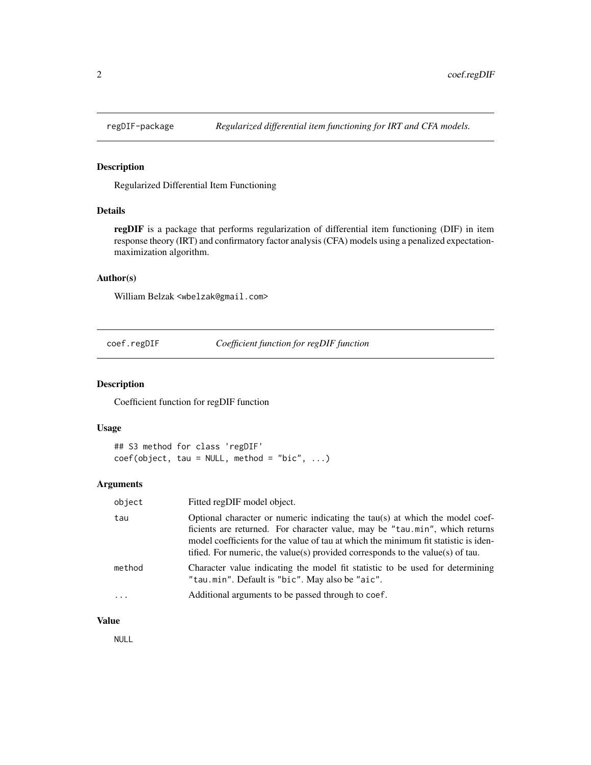<span id="page-1-0"></span>

#### Description

Regularized Differential Item Functioning

#### Details

regDIF is a package that performs regularization of differential item functioning (DIF) in item response theory (IRT) and confirmatory factor analysis (CFA) models using a penalized expectationmaximization algorithm.

#### Author(s)

William Belzak <wbelzak@gmail.com>

coef.regDIF *Coefficient function for regDIF function*

#### Description

Coefficient function for regDIF function

#### Usage

```
## S3 method for class 'regDIF'
coef(object, tau = NULL, method = "bic", ...)
```
#### Arguments

| object   | Fitted regDIF model object.                                                                                                                                                                                                                                                                                                          |
|----------|--------------------------------------------------------------------------------------------------------------------------------------------------------------------------------------------------------------------------------------------------------------------------------------------------------------------------------------|
| tau      | Optional character or numeric indicating the tau(s) at which the model coef-<br>ficients are returned. For character value, may be "tau.min", which returns<br>model coefficients for the value of tau at which the minimum fit statistic is iden-<br>tified. For numeric, the value(s) provided corresponds to the value(s) of tau. |
| method   | Character value indicating the model fit statistic to be used for determining<br>"tau.min". Default is "bic". May also be "aic".                                                                                                                                                                                                     |
| $\ddots$ | Additional arguments to be passed through to coef.                                                                                                                                                                                                                                                                                   |
|          |                                                                                                                                                                                                                                                                                                                                      |

#### Value

NULL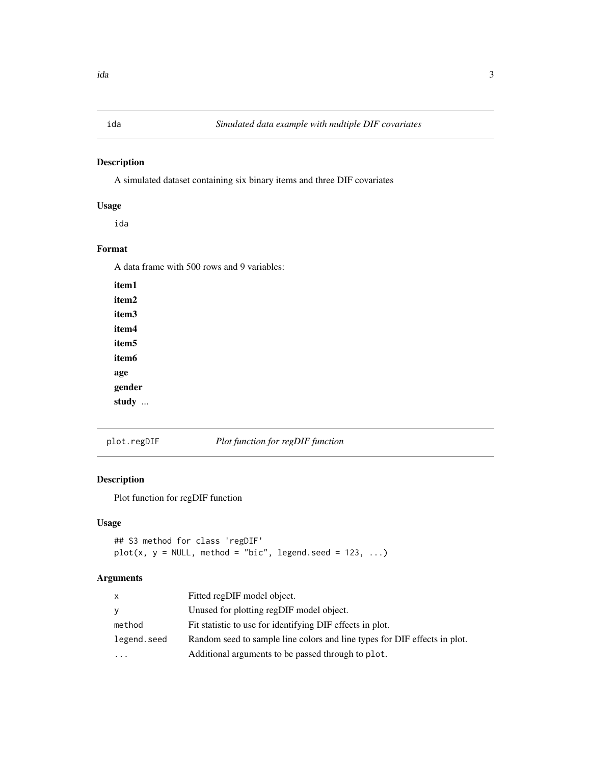<span id="page-2-0"></span>

#### Description

A simulated dataset containing six binary items and three DIF covariates

#### Usage

ida

#### Format

A data frame with 500 rows and 9 variables:

| item 1 |  |
|--------|--|
| item2  |  |
| item3  |  |
| item4  |  |
| item5  |  |
| item6  |  |
| age    |  |
| gender |  |
| study  |  |

#### plot.regDIF *Plot function for regDIF function*

#### Description

Plot function for regDIF function

#### Usage

## S3 method for class 'regDIF'  $plot(x, y = NULL, method = "bic", legend.seed = 123, ...)$ 

#### Arguments

| $\mathsf{x}$ | Fitted regDIF model object.                                               |
|--------------|---------------------------------------------------------------------------|
| y            | Unused for plotting regDIF model object.                                  |
| method       | Fit statistic to use for identifying DIF effects in plot.                 |
| legend.seed  | Random seed to sample line colors and line types for DIF effects in plot. |
|              | Additional arguments to be passed through to plot.                        |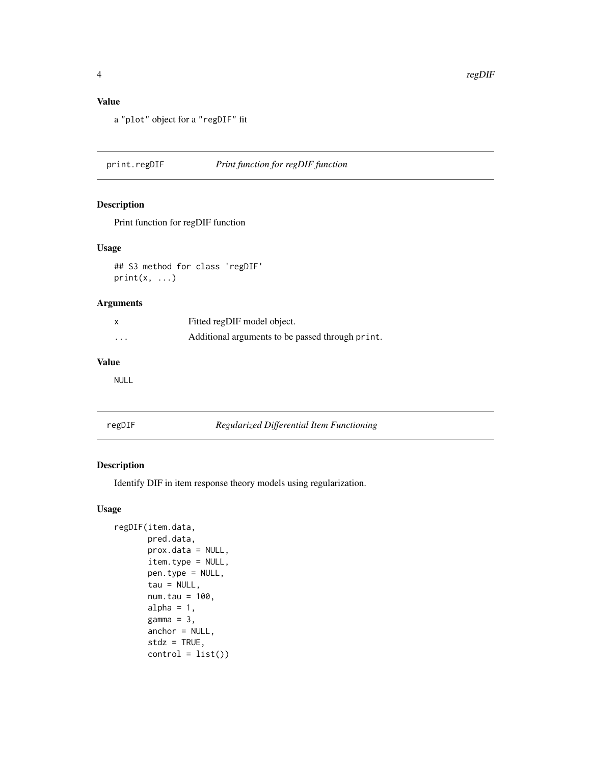#### <span id="page-3-0"></span>Value

a "plot" object for a "regDIF" fit

print.regDIF *Print function for regDIF function*

#### Description

Print function for regDIF function

#### Usage

## S3 method for class 'regDIF'  $print(x, \ldots)$ 

#### Arguments

| x        | Fitted regDIF model object.                      |
|----------|--------------------------------------------------|
| $\cdots$ | Additional arguments to be passed through print. |

#### Value

NULL

**Regularized Differential Item Functioning** 

#### Description

Identify DIF in item response theory models using regularization.

#### Usage

```
regDIF(item.data,
      pred.data,
      prox.data = NULL,
       item.type = NULL,
      pen.type = NULL,
       tau = NULL,num.tau = 100,
      alpha = 1,
      gamma = 3,
      anchor = NULL,
       stdz = TRUE,control = list()
```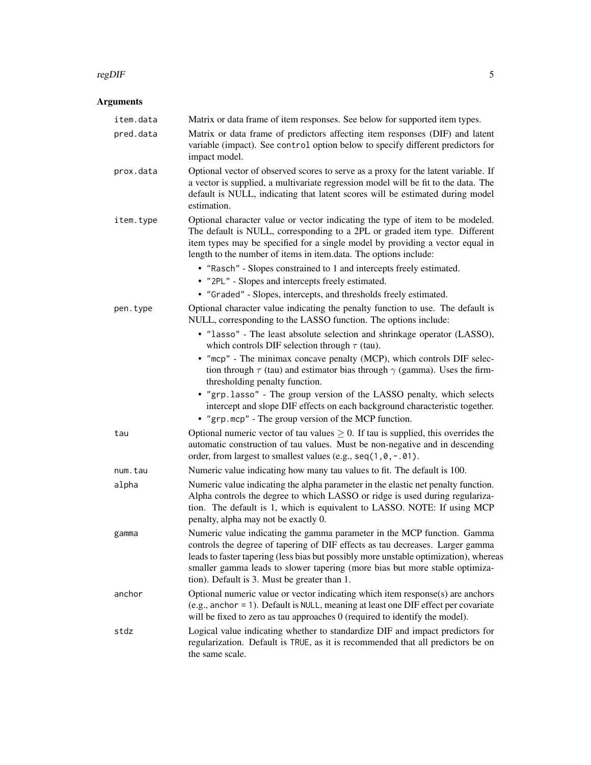#### $r_{\text{ce}}$ DIF  $\sim$  5

#### Arguments

| item.data | Matrix or data frame of item responses. See below for supported item types.                                                                                                                                                                                                                                                                                                      |
|-----------|----------------------------------------------------------------------------------------------------------------------------------------------------------------------------------------------------------------------------------------------------------------------------------------------------------------------------------------------------------------------------------|
| pred.data | Matrix or data frame of predictors affecting item responses (DIF) and latent<br>variable (impact). See control option below to specify different predictors for<br>impact model.                                                                                                                                                                                                 |
| prox.data | Optional vector of observed scores to serve as a proxy for the latent variable. If<br>a vector is supplied, a multivariate regression model will be fit to the data. The<br>default is NULL, indicating that latent scores will be estimated during model<br>estimation.                                                                                                         |
| item.type | Optional character value or vector indicating the type of item to be modeled.<br>The default is NULL, corresponding to a 2PL or graded item type. Different<br>item types may be specified for a single model by providing a vector equal in<br>length to the number of items in item.data. The options include:                                                                 |
|           | • "Rasch" - Slopes constrained to 1 and intercepts freely estimated.                                                                                                                                                                                                                                                                                                             |
|           | • "2PL" - Slopes and intercepts freely estimated.                                                                                                                                                                                                                                                                                                                                |
|           | • "Graded" - Slopes, intercepts, and thresholds freely estimated.                                                                                                                                                                                                                                                                                                                |
| pen.type  | Optional character value indicating the penalty function to use. The default is<br>NULL, corresponding to the LASSO function. The options include:                                                                                                                                                                                                                               |
|           | • "lasso" - The least absolute selection and shrinkage operator (LASSO),<br>which controls DIF selection through $\tau$ (tau).                                                                                                                                                                                                                                                   |
|           | • "mcp" - The minimax concave penalty (MCP), which controls DIF selec-<br>tion through $\tau$ (tau) and estimator bias through $\gamma$ (gamma). Uses the firm-<br>thresholding penalty function.                                                                                                                                                                                |
|           | • "grp.lasso" - The group version of the LASSO penalty, which selects<br>intercept and slope DIF effects on each background characteristic together.<br>• "grp.mcp" - The group version of the MCP function.                                                                                                                                                                     |
| tau       | Optional numeric vector of tau values $\geq 0$ . If tau is supplied, this overrides the<br>automatic construction of tau values. Must be non-negative and in descending<br>order, from largest to smallest values (e.g., seq(1,0, -.01).                                                                                                                                         |
| num.tau   | Numeric value indicating how many tau values to fit. The default is 100.                                                                                                                                                                                                                                                                                                         |
| alpha     | Numeric value indicating the alpha parameter in the elastic net penalty function.<br>Alpha controls the degree to which LASSO or ridge is used during regulariza-<br>tion. The default is 1, which is equivalent to LASSO. NOTE: If using MCP<br>penalty, alpha may not be exactly 0.                                                                                            |
| gamma     | Numeric value indicating the gamma parameter in the MCP function. Gamma<br>controls the degree of tapering of DIF effects as tau decreases. Larger gamma<br>leads to faster tapering (less bias but possibly more unstable optimization), whereas<br>smaller gamma leads to slower tapering (more bias but more stable optimiza-<br>tion). Default is 3. Must be greater than 1. |
| anchor    | Optional numeric value or vector indicating which item response(s) are anchors<br>(e.g., anchor = 1). Default is NULL, meaning at least one DIF effect per covariate<br>will be fixed to zero as tau approaches 0 (required to identify the model).                                                                                                                              |
| stdz      | Logical value indicating whether to standardize DIF and impact predictors for<br>regularization. Default is TRUE, as it is recommended that all predictors be on<br>the same scale.                                                                                                                                                                                              |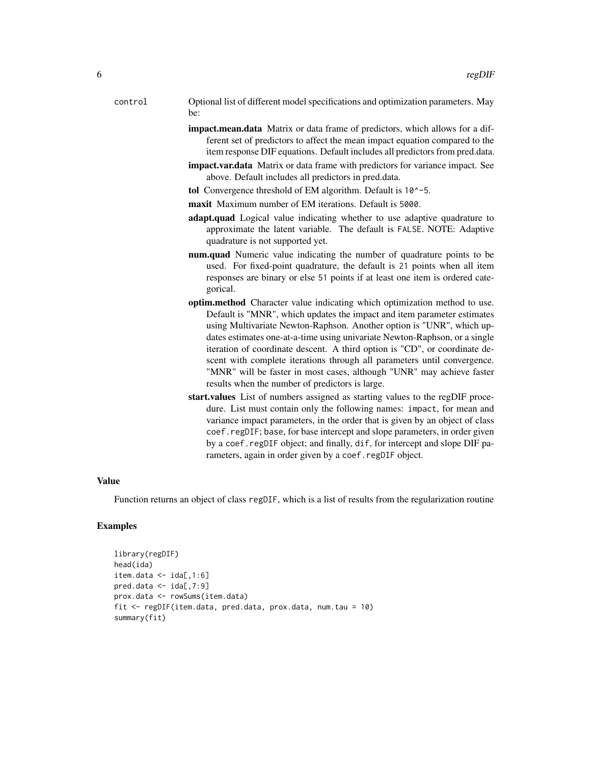- control Optional list of different model specifications and optimization parameters. May be:
	- impact.mean.data Matrix or data frame of predictors, which allows for a different set of predictors to affect the mean impact equation compared to the item response DIF equations. Default includes all predictors from pred.data.
	- impact.var.data Matrix or data frame with predictors for variance impact. See above. Default includes all predictors in pred.data.
	- tol Convergence threshold of EM algorithm. Default is  $10^{\circ}$ -5.
	- maxit Maximum number of EM iterations. Default is 5000.
	- adapt.quad Logical value indicating whether to use adaptive quadrature to approximate the latent variable. The default is FALSE. NOTE: Adaptive quadrature is not supported yet.
	- num.quad Numeric value indicating the number of quadrature points to be used. For fixed-point quadrature, the default is 21 points when all item responses are binary or else 51 points if at least one item is ordered categorical.
	- optim.method Character value indicating which optimization method to use. Default is "MNR", which updates the impact and item parameter estimates using Multivariate Newton-Raphson. Another option is "UNR", which updates estimates one-at-a-time using univariate Newton-Raphson, or a single iteration of coordinate descent. A third option is "CD", or coordinate descent with complete iterations through all parameters until convergence. "MNR" will be faster in most cases, although "UNR" may achieve faster results when the number of predictors is large.
	- start.values List of numbers assigned as starting values to the regDIF procedure. List must contain only the following names: impact, for mean and variance impact parameters, in the order that is given by an object of class coef.regDIF; base, for base intercept and slope parameters, in order given by a coef.regDIF object; and finally, dif, for intercept and slope DIF parameters, again in order given by a coef.regDIF object.

#### Value

Function returns an object of class regDIF, which is a list of results from the regularization routine

#### Examples

```
library(regDIF)
head(ida)
item.data < - ida[, 1:6]pred.data < - ida[, 7:9]prox.data <- rowSums(item.data)
fit <- regDIF(item.data, pred.data, prox.data, num.tau = 10)
summary(fit)
```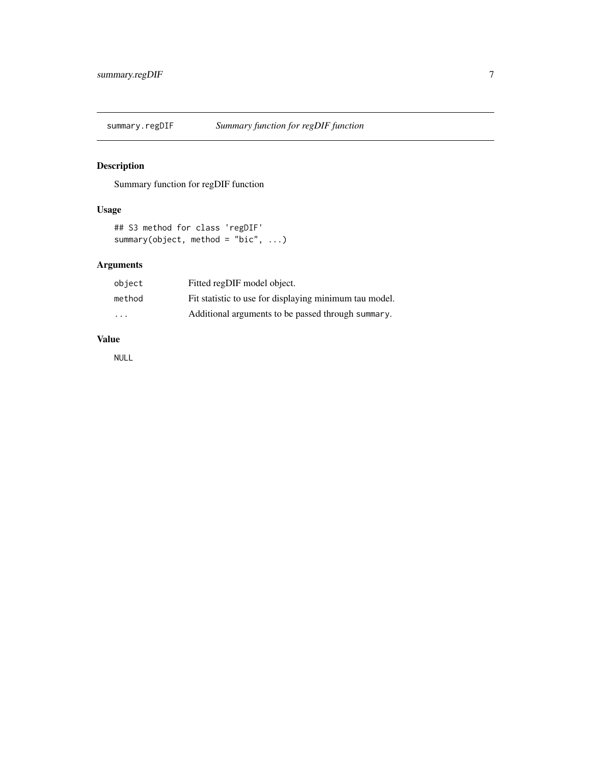<span id="page-6-0"></span>

#### Description

Summary function for regDIF function

#### Usage

```
## S3 method for class 'regDIF'
summary(object, method = "bic", ...)
```
#### Arguments

| object                  | Fitted regDIF model object.                            |
|-------------------------|--------------------------------------------------------|
| method                  | Fit statistic to use for displaying minimum tau model. |
| $\cdot$ $\cdot$ $\cdot$ | Additional arguments to be passed through summary.     |

#### Value

NULL